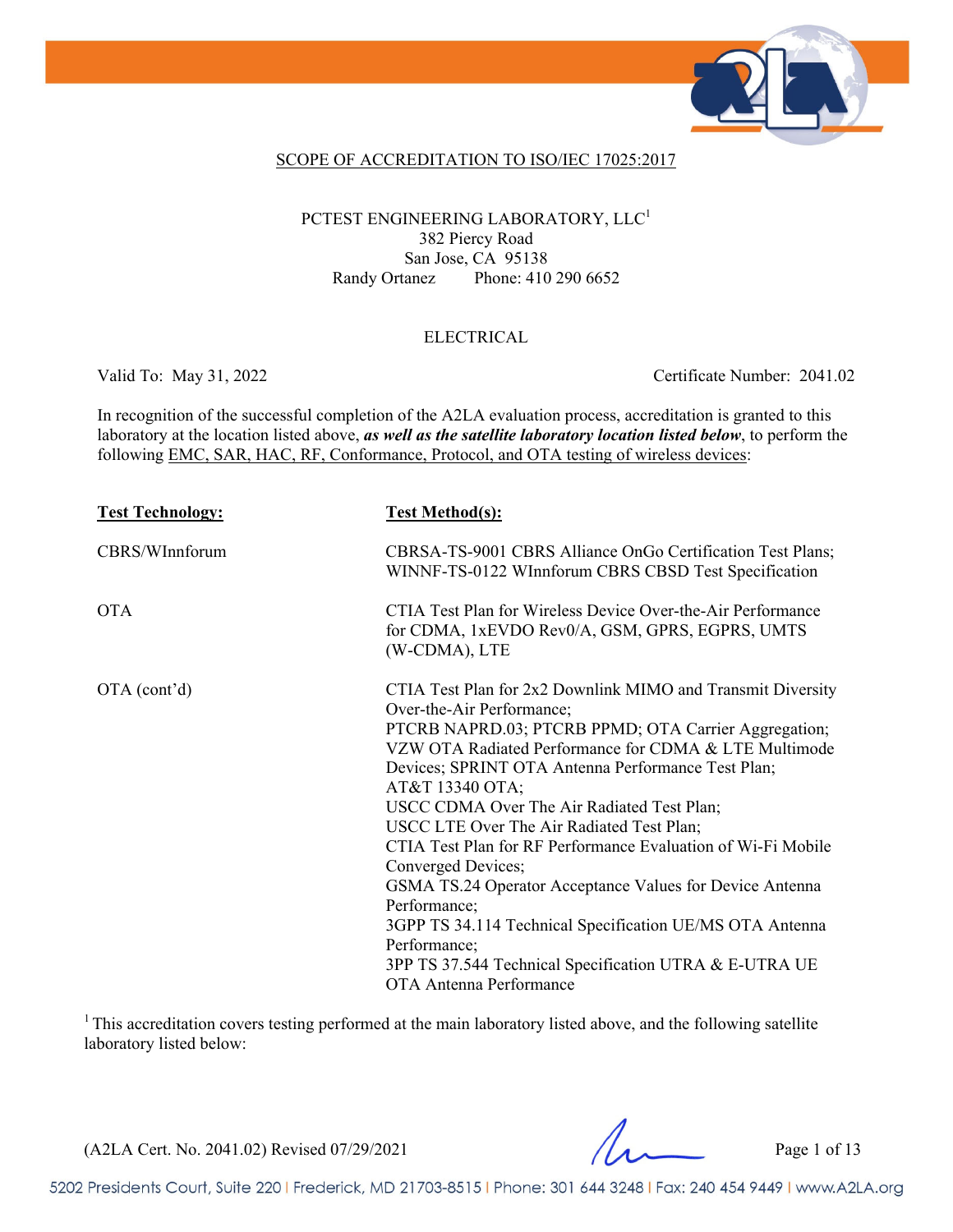

#### SCOPE OF ACCREDITATION TO ISO/IEC 17025:2017

### PCTEST ENGINEERING LABORATORY, LLC<sup>1</sup> 382 Piercy Road San Jose, CA 95138 Randy Ortanez Phone: 410 290 6652

### ELECTRICAL

Valid To: May 31, 2022 Certificate Number: 2041.02

In recognition of the successful completion of the A2LA evaluation process, accreditation is granted to this laboratory at the location listed above, *as well as the satellite laboratory location listed below*, to perform the following EMC, SAR, HAC, RF, Conformance, Protocol, and OTA testing of wireless devices:

| <b>Test Technology:</b> | <b>Test Method(s):</b>                                                                                                                                                                                                                                                                                                                                                                                                                                                                                                                                                                                                                                                                                           |
|-------------------------|------------------------------------------------------------------------------------------------------------------------------------------------------------------------------------------------------------------------------------------------------------------------------------------------------------------------------------------------------------------------------------------------------------------------------------------------------------------------------------------------------------------------------------------------------------------------------------------------------------------------------------------------------------------------------------------------------------------|
| CBRS/WInnforum          | CBRSA-TS-9001 CBRS Alliance OnGo Certification Test Plans;<br>WINNF-TS-0122 WInnforum CBRS CBSD Test Specification                                                                                                                                                                                                                                                                                                                                                                                                                                                                                                                                                                                               |
| <b>OTA</b>              | CTIA Test Plan for Wireless Device Over-the-Air Performance<br>for CDMA, 1xEVDO Rev0/A, GSM, GPRS, EGPRS, UMTS<br>(W-CDMA), LTE                                                                                                                                                                                                                                                                                                                                                                                                                                                                                                                                                                                  |
| OTA (cont'd)            | CTIA Test Plan for 2x2 Downlink MIMO and Transmit Diversity<br>Over-the-Air Performance;<br>PTCRB NAPRD.03; PTCRB PPMD; OTA Carrier Aggregation;<br>VZW OTA Radiated Performance for CDMA & LTE Multimode<br>Devices; SPRINT OTA Antenna Performance Test Plan;<br>AT&T 13340 OTA;<br>USCC CDMA Over The Air Radiated Test Plan;<br>USCC LTE Over The Air Radiated Test Plan;<br>CTIA Test Plan for RF Performance Evaluation of Wi-Fi Mobile<br>Converged Devices;<br>GSMA TS.24 Operator Acceptance Values for Device Antenna<br>Performance;<br>3GPP TS 34.114 Technical Specification UE/MS OTA Antenna<br>Performance;<br>3PP TS 37.544 Technical Specification UTRA & E-UTRA UE<br>OTA Antenna Performance |

<sup>1</sup> This accreditation covers testing performed at the main laboratory listed above, and the following satellite laboratory listed below:

(A2LA Cert. No. 2041.02) Revised 07/29/2021 Page 1 of 13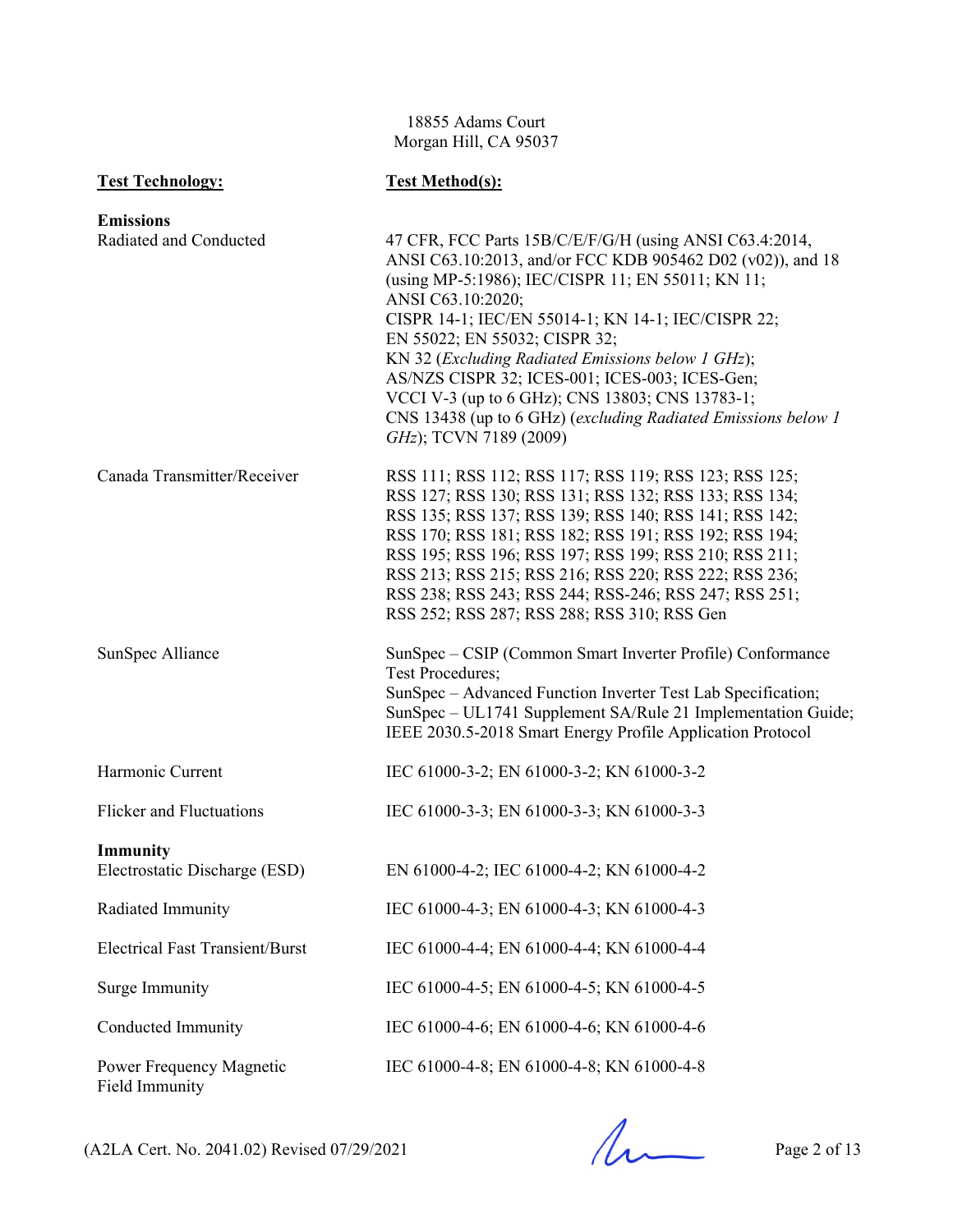18855 Adams Court Morgan Hill, CA 95037

| <b>Test Technology:</b>                          | <b>Test Method(s):</b>                                                                                                                                                                                                                                                                                                                                                                                                                                                                                                                      |
|--------------------------------------------------|---------------------------------------------------------------------------------------------------------------------------------------------------------------------------------------------------------------------------------------------------------------------------------------------------------------------------------------------------------------------------------------------------------------------------------------------------------------------------------------------------------------------------------------------|
| <b>Emissions</b><br>Radiated and Conducted       | 47 CFR, FCC Parts 15B/C/E/F/G/H (using ANSI C63.4:2014,<br>ANSI C63.10:2013, and/or FCC KDB 905462 D02 (v02)), and 18<br>(using MP-5:1986); IEC/CISPR 11; EN 55011; KN 11;<br>ANSI C63.10:2020;<br>CISPR 14-1; IEC/EN 55014-1; KN 14-1; IEC/CISPR 22;<br>EN 55022; EN 55032; CISPR 32;<br>KN 32 (Excluding Radiated Emissions below 1 GHz);<br>AS/NZS CISPR 32; ICES-001; ICES-003; ICES-Gen;<br>VCCI V-3 (up to 6 GHz); CNS 13803; CNS 13783-1;<br>CNS 13438 (up to 6 GHz) (excluding Radiated Emissions below 1<br>GHz); TCVN 7189 (2009) |
| Canada Transmitter/Receiver                      | RSS 111; RSS 112; RSS 117; RSS 119; RSS 123; RSS 125;<br>RSS 127; RSS 130; RSS 131; RSS 132; RSS 133; RSS 134;<br>RSS 135; RSS 137; RSS 139; RSS 140; RSS 141; RSS 142;<br>RSS 170; RSS 181; RSS 182; RSS 191; RSS 192; RSS 194;<br>RSS 195; RSS 196; RSS 197; RSS 199; RSS 210; RSS 211;<br>RSS 213; RSS 215; RSS 216; RSS 220; RSS 222; RSS 236;<br>RSS 238; RSS 243; RSS 244; RSS-246; RSS 247; RSS 251;<br>RSS 252; RSS 287; RSS 288; RSS 310; RSS Gen                                                                                  |
| SunSpec Alliance                                 | SunSpec – CSIP (Common Smart Inverter Profile) Conformance<br><b>Test Procedures;</b><br>SunSpec - Advanced Function Inverter Test Lab Specification;<br>SunSpec - UL1741 Supplement SA/Rule 21 Implementation Guide;<br>IEEE 2030.5-2018 Smart Energy Profile Application Protocol                                                                                                                                                                                                                                                         |
| Harmonic Current                                 | IEC 61000-3-2; EN 61000-3-2; KN 61000-3-2                                                                                                                                                                                                                                                                                                                                                                                                                                                                                                   |
| <b>Flicker and Fluctuations</b>                  | IEC 61000-3-3; EN 61000-3-3; KN 61000-3-3                                                                                                                                                                                                                                                                                                                                                                                                                                                                                                   |
| <b>Immunity</b><br>Electrostatic Discharge (ESD) | EN 61000-4-2; IEC 61000-4-2; KN 61000-4-2                                                                                                                                                                                                                                                                                                                                                                                                                                                                                                   |
| Radiated Immunity                                | IEC 61000-4-3; EN 61000-4-3; KN 61000-4-3                                                                                                                                                                                                                                                                                                                                                                                                                                                                                                   |
| <b>Electrical Fast Transient/Burst</b>           | IEC 61000-4-4; EN 61000-4-4; KN 61000-4-4                                                                                                                                                                                                                                                                                                                                                                                                                                                                                                   |
| Surge Immunity                                   | IEC 61000-4-5; EN 61000-4-5; KN 61000-4-5                                                                                                                                                                                                                                                                                                                                                                                                                                                                                                   |
| Conducted Immunity                               | IEC 61000-4-6; EN 61000-4-6; KN 61000-4-6                                                                                                                                                                                                                                                                                                                                                                                                                                                                                                   |
| Power Frequency Magnetic<br>Field Immunity       | IEC 61000-4-8; EN 61000-4-8; KN 61000-4-8                                                                                                                                                                                                                                                                                                                                                                                                                                                                                                   |

 $(A2LA$  Cert. No. 2041.02) Revised 07/29/2021 Page 2 of 13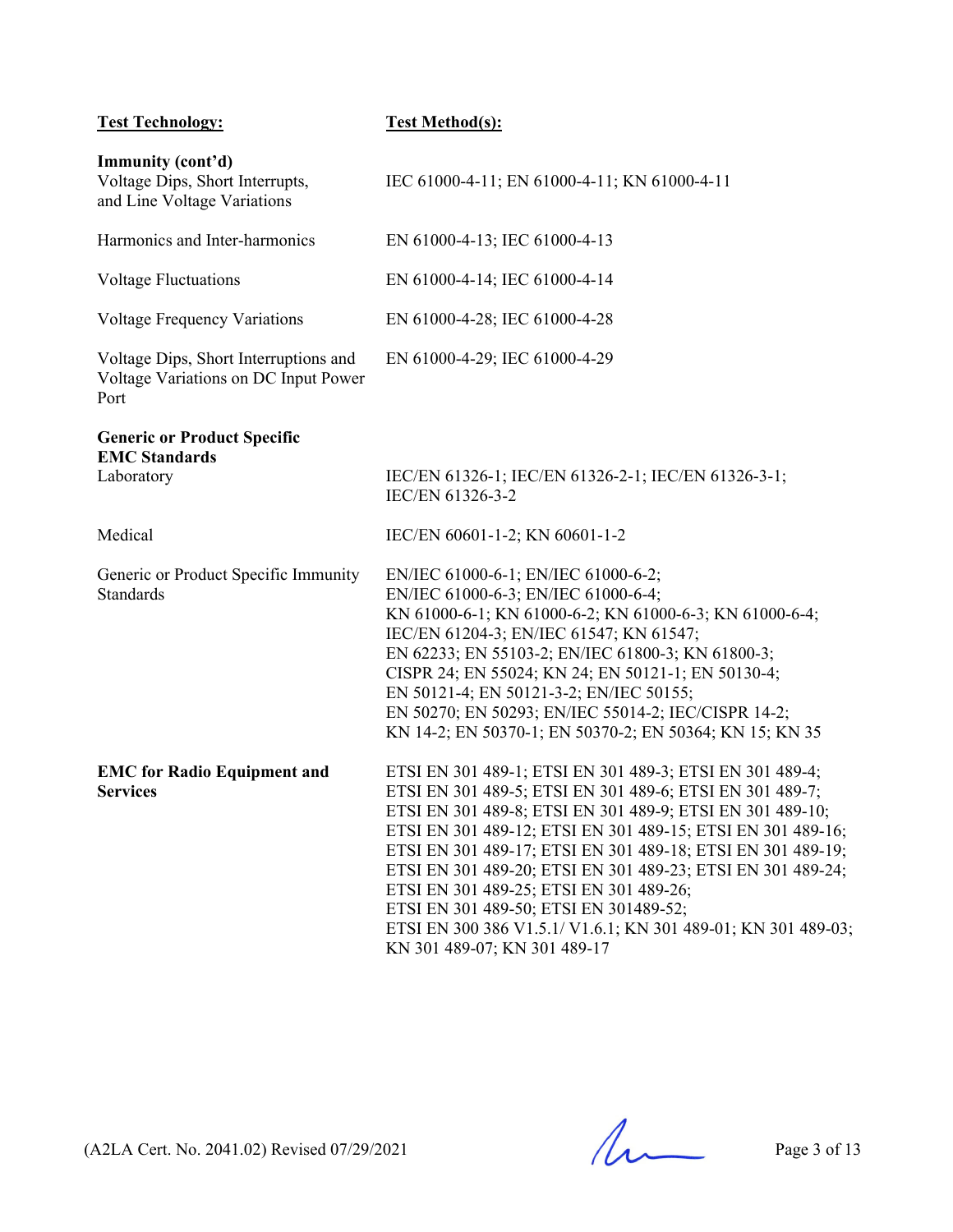| <b>Test Technology:</b>                                                               | <b>Test Method(s):</b>                                                                                                                                                                                                                                                                                                                                                                                                                                                                                                                                               |
|---------------------------------------------------------------------------------------|----------------------------------------------------------------------------------------------------------------------------------------------------------------------------------------------------------------------------------------------------------------------------------------------------------------------------------------------------------------------------------------------------------------------------------------------------------------------------------------------------------------------------------------------------------------------|
| Immunity (cont'd)<br>Voltage Dips, Short Interrupts,<br>and Line Voltage Variations   | IEC 61000-4-11; EN 61000-4-11; KN 61000-4-11                                                                                                                                                                                                                                                                                                                                                                                                                                                                                                                         |
| Harmonics and Inter-harmonics                                                         | EN 61000-4-13; IEC 61000-4-13                                                                                                                                                                                                                                                                                                                                                                                                                                                                                                                                        |
| <b>Voltage Fluctuations</b>                                                           | EN 61000-4-14; IEC 61000-4-14                                                                                                                                                                                                                                                                                                                                                                                                                                                                                                                                        |
| <b>Voltage Frequency Variations</b>                                                   | EN 61000-4-28; IEC 61000-4-28                                                                                                                                                                                                                                                                                                                                                                                                                                                                                                                                        |
| Voltage Dips, Short Interruptions and<br>Voltage Variations on DC Input Power<br>Port | EN 61000-4-29; IEC 61000-4-29                                                                                                                                                                                                                                                                                                                                                                                                                                                                                                                                        |
| <b>Generic or Product Specific</b><br><b>EMC Standards</b>                            |                                                                                                                                                                                                                                                                                                                                                                                                                                                                                                                                                                      |
| Laboratory                                                                            | IEC/EN 61326-1; IEC/EN 61326-2-1; IEC/EN 61326-3-1;<br>IEC/EN 61326-3-2                                                                                                                                                                                                                                                                                                                                                                                                                                                                                              |
| Medical                                                                               | IEC/EN 60601-1-2; KN 60601-1-2                                                                                                                                                                                                                                                                                                                                                                                                                                                                                                                                       |
| Generic or Product Specific Immunity<br>Standards                                     | EN/IEC 61000-6-1; EN/IEC 61000-6-2;<br>EN/IEC 61000-6-3; EN/IEC 61000-6-4;<br>KN 61000-6-1; KN 61000-6-2; KN 61000-6-3; KN 61000-6-4;<br>IEC/EN 61204-3; EN/IEC 61547; KN 61547;<br>EN 62233; EN 55103-2; EN/IEC 61800-3; KN 61800-3;<br>CISPR 24; EN 55024; KN 24; EN 50121-1; EN 50130-4;<br>EN 50121-4; EN 50121-3-2; EN/IEC 50155;<br>EN 50270; EN 50293; EN/IEC 55014-2; IEC/CISPR 14-2;<br>KN 14-2; EN 50370-1; EN 50370-2; EN 50364; KN 15; KN 35                                                                                                             |
| <b>EMC</b> for Radio Equipment and<br><b>Services</b>                                 | ETSI EN 301 489-1; ETSI EN 301 489-3; ETSI EN 301 489-4;<br>ETSI EN 301 489-5; ETSI EN 301 489-6; ETSI EN 301 489-7;<br>ETSI EN 301 489-8; ETSI EN 301 489-9; ETSI EN 301 489-10;<br>ETSI EN 301 489-12; ETSI EN 301 489-15; ETSI EN 301 489-16;<br>ETSI EN 301 489-17; ETSI EN 301 489-18; ETSI EN 301 489-19;<br>ETSI EN 301 489-20; ETSI EN 301 489-23; ETSI EN 301 489-24;<br>ETSI EN 301 489-25; ETSI EN 301 489-26;<br>ETSI EN 301 489-50; ETSI EN 301489-52;<br>ETSI EN 300 386 V1.5.1/ V1.6.1; KN 301 489-01; KN 301 489-03;<br>KN 301 489-07; KN 301 489-17 |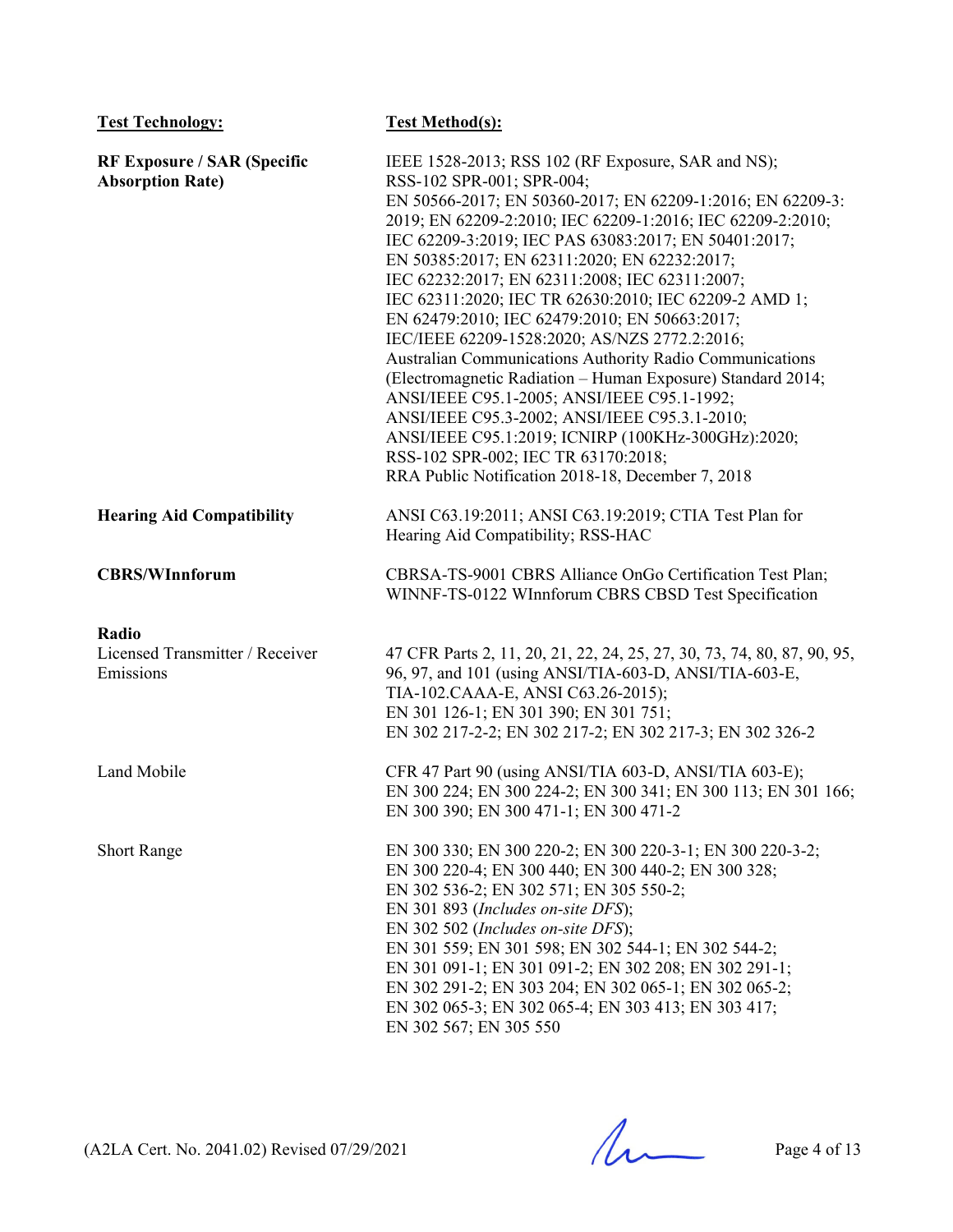| <b>Test Technology:</b>                                       | <b>Test Method(s):</b>                                                                                                                                                                                                                                                                                                                                                                                                                                                                                                                                                                                                                                                                                                                                                                                                                                                                                        |
|---------------------------------------------------------------|---------------------------------------------------------------------------------------------------------------------------------------------------------------------------------------------------------------------------------------------------------------------------------------------------------------------------------------------------------------------------------------------------------------------------------------------------------------------------------------------------------------------------------------------------------------------------------------------------------------------------------------------------------------------------------------------------------------------------------------------------------------------------------------------------------------------------------------------------------------------------------------------------------------|
| <b>RF Exposure / SAR (Specific</b><br><b>Absorption Rate)</b> | IEEE 1528-2013; RSS 102 (RF Exposure, SAR and NS);<br>RSS-102 SPR-001; SPR-004;<br>EN 50566-2017; EN 50360-2017; EN 62209-1:2016; EN 62209-3:<br>2019; EN 62209-2:2010; IEC 62209-1:2016; IEC 62209-2:2010;<br>IEC 62209-3:2019; IEC PAS 63083:2017; EN 50401:2017;<br>EN 50385:2017; EN 62311:2020; EN 62232:2017;<br>IEC 62232:2017; EN 62311:2008; IEC 62311:2007;<br>IEC 62311:2020; IEC TR 62630:2010; IEC 62209-2 AMD 1;<br>EN 62479:2010; IEC 62479:2010; EN 50663:2017;<br>IEC/IEEE 62209-1528:2020; AS/NZS 2772.2:2016;<br>Australian Communications Authority Radio Communications<br>(Electromagnetic Radiation - Human Exposure) Standard 2014;<br>ANSI/IEEE C95.1-2005; ANSI/IEEE C95.1-1992;<br>ANSI/IEEE C95.3-2002; ANSI/IEEE C95.3.1-2010;<br>ANSI/IEEE C95.1:2019; ICNIRP (100KHz-300GHz):2020;<br>RSS-102 SPR-002; IEC TR 63170:2018;<br>RRA Public Notification 2018-18, December 7, 2018 |
| <b>Hearing Aid Compatibility</b>                              | ANSI C63.19:2011; ANSI C63.19:2019; CTIA Test Plan for<br>Hearing Aid Compatibility; RSS-HAC                                                                                                                                                                                                                                                                                                                                                                                                                                                                                                                                                                                                                                                                                                                                                                                                                  |
| <b>CBRS/WInnforum</b>                                         | CBRSA-TS-9001 CBRS Alliance OnGo Certification Test Plan;<br>WINNF-TS-0122 WInnforum CBRS CBSD Test Specification                                                                                                                                                                                                                                                                                                                                                                                                                                                                                                                                                                                                                                                                                                                                                                                             |
| Radio<br>Licensed Transmitter / Receiver<br>Emissions         | 47 CFR Parts 2, 11, 20, 21, 22, 24, 25, 27, 30, 73, 74, 80, 87, 90, 95,<br>96, 97, and 101 (using ANSI/TIA-603-D, ANSI/TIA-603-E,<br>TIA-102.CAAA-E, ANSI C63.26-2015);<br>EN 301 126-1; EN 301 390; EN 301 751;<br>EN 302 217-2-2; EN 302 217-2; EN 302 217-3; EN 302 326-2                                                                                                                                                                                                                                                                                                                                                                                                                                                                                                                                                                                                                                  |
| Land Mobile                                                   | CFR 47 Part 90 (using ANSI/TIA 603-D, ANSI/TIA 603-E);<br>EN 300 224; EN 300 224-2; EN 300 341; EN 300 113; EN 301 166;<br>EN 300 390; EN 300 471-1; EN 300 471-2                                                                                                                                                                                                                                                                                                                                                                                                                                                                                                                                                                                                                                                                                                                                             |
| <b>Short Range</b>                                            | EN 300 330; EN 300 220-2; EN 300 220-3-1; EN 300 220-3-2;<br>EN 300 220-4; EN 300 440; EN 300 440-2; EN 300 328;<br>EN 302 536-2; EN 302 571; EN 305 550-2;<br>EN 301 893 (Includes on-site DFS);<br>EN 302 502 (Includes on-site DFS);<br>EN 301 559; EN 301 598; EN 302 544-1; EN 302 544-2;<br>EN 301 091-1; EN 301 091-2; EN 302 208; EN 302 291-1;<br>EN 302 291-2; EN 303 204; EN 302 065-1; EN 302 065-2;<br>EN 302 065-3; EN 302 065-4; EN 303 413; EN 303 417;<br>EN 302 567; EN 305 550                                                                                                                                                                                                                                                                                                                                                                                                             |

 $(A2LA$  Cert. No. 2041.02) Revised 07/29/2021 Page 4 of 13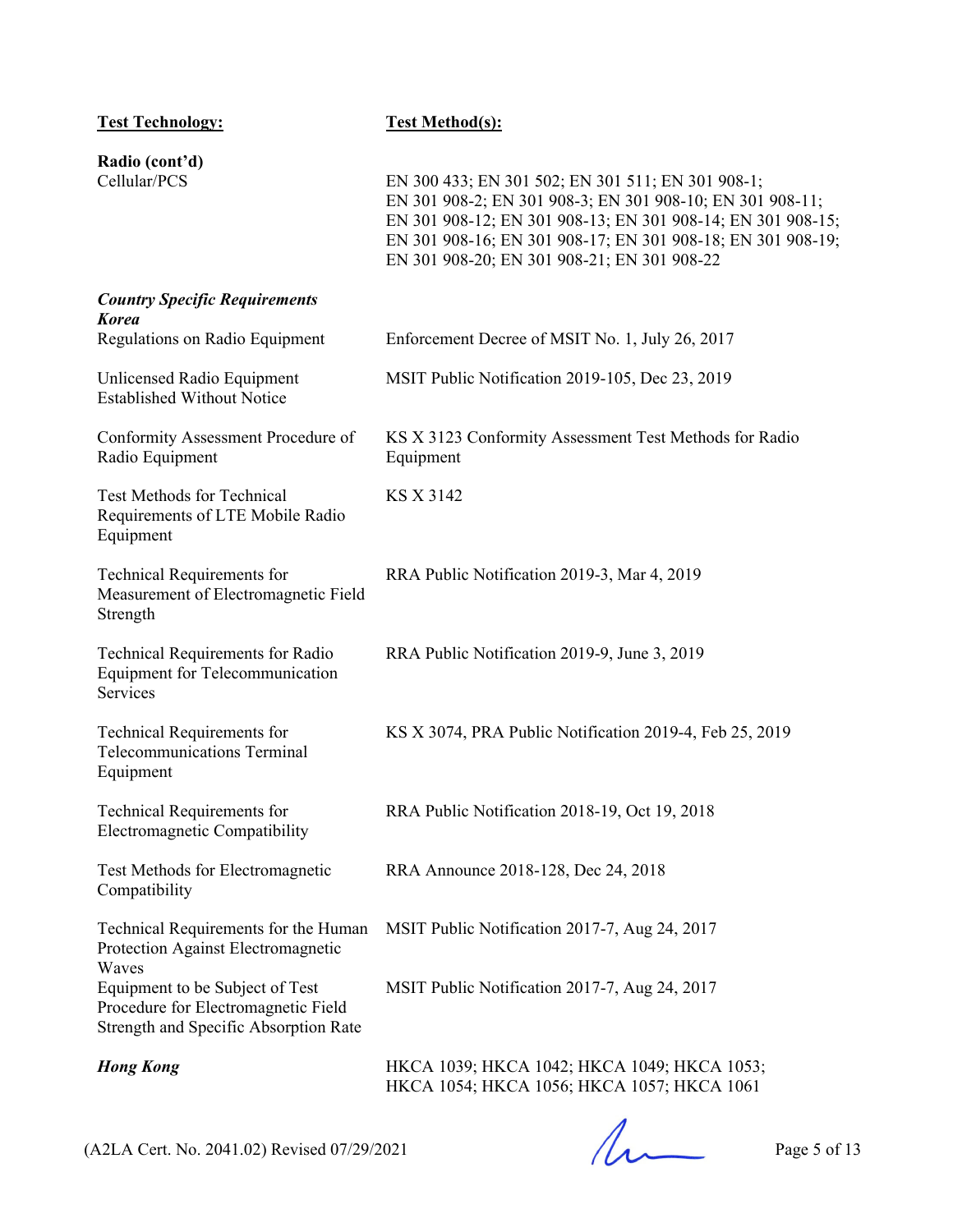| <b>Test Technology:</b>                                                                                         | <b>Test Method(s):</b>                                                                                                                                                                                                                                                                      |
|-----------------------------------------------------------------------------------------------------------------|---------------------------------------------------------------------------------------------------------------------------------------------------------------------------------------------------------------------------------------------------------------------------------------------|
| Radio (cont'd)<br>Cellular/PCS                                                                                  | EN 300 433; EN 301 502; EN 301 511; EN 301 908-1;<br>EN 301 908-2; EN 301 908-3; EN 301 908-10; EN 301 908-11;<br>EN 301 908-12; EN 301 908-13; EN 301 908-14; EN 301 908-15;<br>EN 301 908-16; EN 301 908-17; EN 301 908-18; EN 301 908-19;<br>EN 301 908-20; EN 301 908-21; EN 301 908-22 |
| <b>Country Specific Requirements</b><br><b>Korea</b><br>Regulations on Radio Equipment                          | Enforcement Decree of MSIT No. 1, July 26, 2017                                                                                                                                                                                                                                             |
| Unlicensed Radio Equipment<br><b>Established Without Notice</b>                                                 | MSIT Public Notification 2019-105, Dec 23, 2019                                                                                                                                                                                                                                             |
| Conformity Assessment Procedure of<br>Radio Equipment                                                           | KS X 3123 Conformity Assessment Test Methods for Radio<br>Equipment                                                                                                                                                                                                                         |
| <b>Test Methods for Technical</b><br>Requirements of LTE Mobile Radio<br>Equipment                              | <b>KS X 3142</b>                                                                                                                                                                                                                                                                            |
| Technical Requirements for<br>Measurement of Electromagnetic Field<br>Strength                                  | RRA Public Notification 2019-3, Mar 4, 2019                                                                                                                                                                                                                                                 |
| Technical Requirements for Radio<br><b>Equipment for Telecommunication</b><br>Services                          | RRA Public Notification 2019-9, June 3, 2019                                                                                                                                                                                                                                                |
| Technical Requirements for<br><b>Telecommunications Terminal</b><br>Equipment                                   | KS X 3074, PRA Public Notification 2019-4, Feb 25, 2019                                                                                                                                                                                                                                     |
| <b>Technical Requirements for</b><br>Electromagnetic Compatibility                                              | RRA Public Notification 2018-19, Oct 19, 2018                                                                                                                                                                                                                                               |
| Test Methods for Electromagnetic<br>Compatibility                                                               | RRA Announce 2018-128, Dec 24, 2018                                                                                                                                                                                                                                                         |
| Technical Requirements for the Human<br>Protection Against Electromagnetic<br>Waves                             | MSIT Public Notification 2017-7, Aug 24, 2017                                                                                                                                                                                                                                               |
| Equipment to be Subject of Test<br>Procedure for Electromagnetic Field<br>Strength and Specific Absorption Rate | MSIT Public Notification 2017-7, Aug 24, 2017                                                                                                                                                                                                                                               |
| <b>Hong Kong</b>                                                                                                | HKCA 1039; HKCA 1042; HKCA 1049; HKCA 1053;<br>HKCA 1054; HKCA 1056; HKCA 1057; HKCA 1061                                                                                                                                                                                                   |

 $(A2LA$  Cert. No. 2041.02) Revised 07/29/2021 Page 5 of 13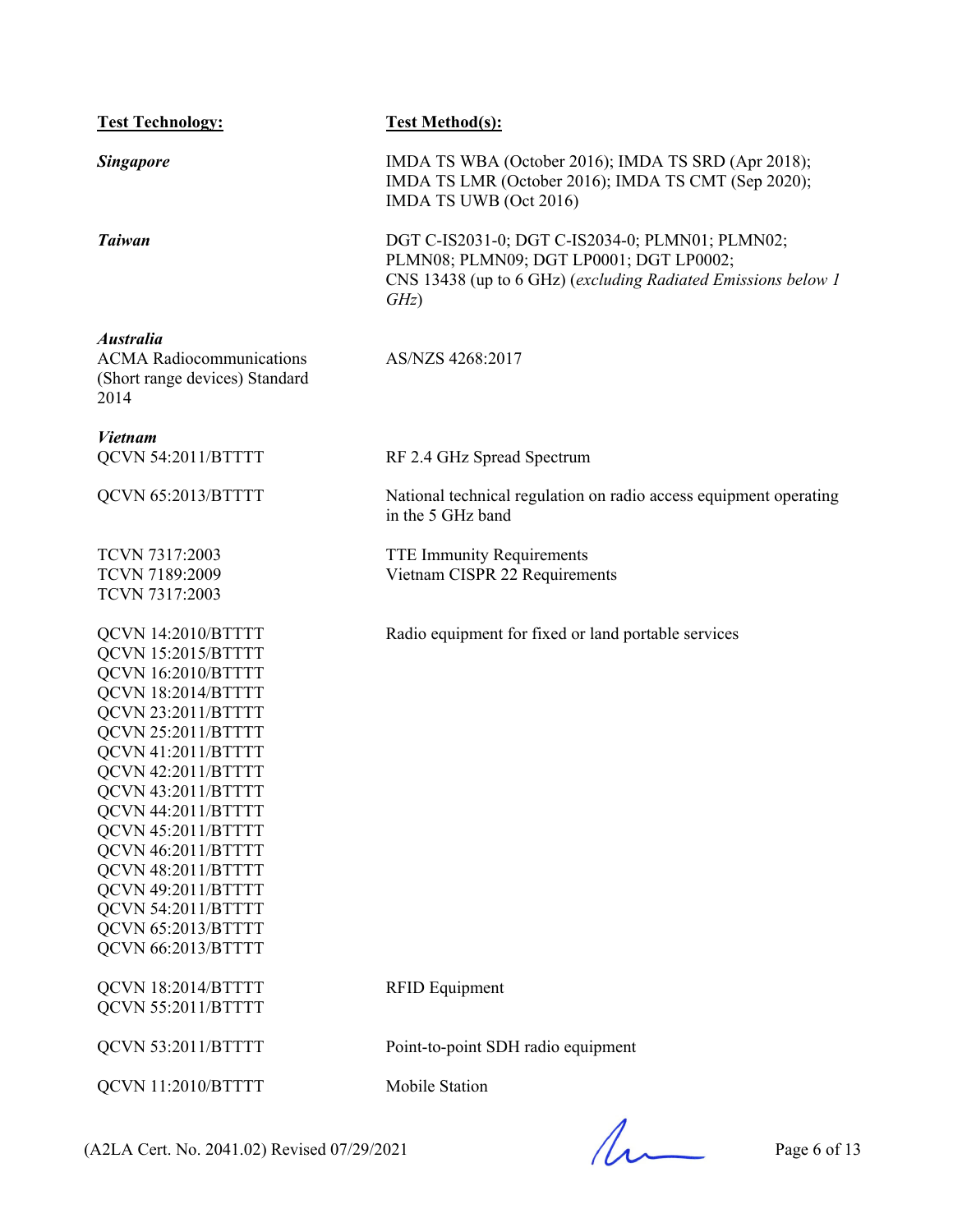| <b>Test Technology:</b>                                                                                                                                                                                                                                                                                                                                                            | <b>Test Method(s):</b>                                                                                                                                              |
|------------------------------------------------------------------------------------------------------------------------------------------------------------------------------------------------------------------------------------------------------------------------------------------------------------------------------------------------------------------------------------|---------------------------------------------------------------------------------------------------------------------------------------------------------------------|
| <b>Singapore</b>                                                                                                                                                                                                                                                                                                                                                                   | IMDA TS WBA (October 2016); IMDA TS SRD (Apr 2018);<br>IMDA TS LMR (October 2016); IMDA TS CMT (Sep 2020);<br>IMDA TS UWB (Oct 2016)                                |
| <b>Taiwan</b>                                                                                                                                                                                                                                                                                                                                                                      | DGT C-IS2031-0; DGT C-IS2034-0; PLMN01; PLMN02;<br>PLMN08; PLMN09; DGT LP0001; DGT LP0002;<br>CNS 13438 (up to 6 GHz) (excluding Radiated Emissions below 1<br>GHz) |
| <b>Australia</b><br><b>ACMA</b> Radiocommunications<br>(Short range devices) Standard<br>2014                                                                                                                                                                                                                                                                                      | AS/NZS 4268:2017                                                                                                                                                    |
| <b>Vietnam</b><br>QCVN 54:2011/BTTTT                                                                                                                                                                                                                                                                                                                                               | RF 2.4 GHz Spread Spectrum                                                                                                                                          |
| QCVN 65:2013/BTTTT                                                                                                                                                                                                                                                                                                                                                                 | National technical regulation on radio access equipment operating<br>in the 5 GHz band                                                                              |
| TCVN 7317:2003<br>TCVN 7189:2009<br>TCVN 7317:2003                                                                                                                                                                                                                                                                                                                                 | <b>TTE Immunity Requirements</b><br>Vietnam CISPR 22 Requirements                                                                                                   |
| QCVN 14:2010/BTTTT<br>QCVN 15:2015/BTTTT<br>QCVN 16:2010/BTTTT<br>QCVN 18:2014/BTTTT<br>QCVN 23:2011/BTTTT<br>QCVN 25:2011/BTTTT<br>QCVN 41:2011/BTTTT<br>QCVN 42:2011/BTTTT<br>QCVN 43:2011/BTTTT<br>QCVN 44:2011/BTTTT<br>QCVN 45:2011/BTTTT<br>QCVN 46:2011/BTTTT<br>QCVN 48:2011/BTTTT<br>QCVN 49:2011/BTTTT<br>QCVN 54:2011/BTTTT<br>QCVN 65:2013/BTTTT<br>QCVN 66:2013/BTTTT | Radio equipment for fixed or land portable services                                                                                                                 |
| QCVN 18:2014/BTTTT<br>QCVN 55:2011/BTTTT                                                                                                                                                                                                                                                                                                                                           | <b>RFID Equipment</b>                                                                                                                                               |
| QCVN 53:2011/BTTTT                                                                                                                                                                                                                                                                                                                                                                 | Point-to-point SDH radio equipment                                                                                                                                  |
| QCVN 11:2010/BTTTT                                                                                                                                                                                                                                                                                                                                                                 | Mobile Station                                                                                                                                                      |
|                                                                                                                                                                                                                                                                                                                                                                                    |                                                                                                                                                                     |

 $(A2LA$  Cert. No. 2041.02) Revised 07/29/2021 Page 6 of 13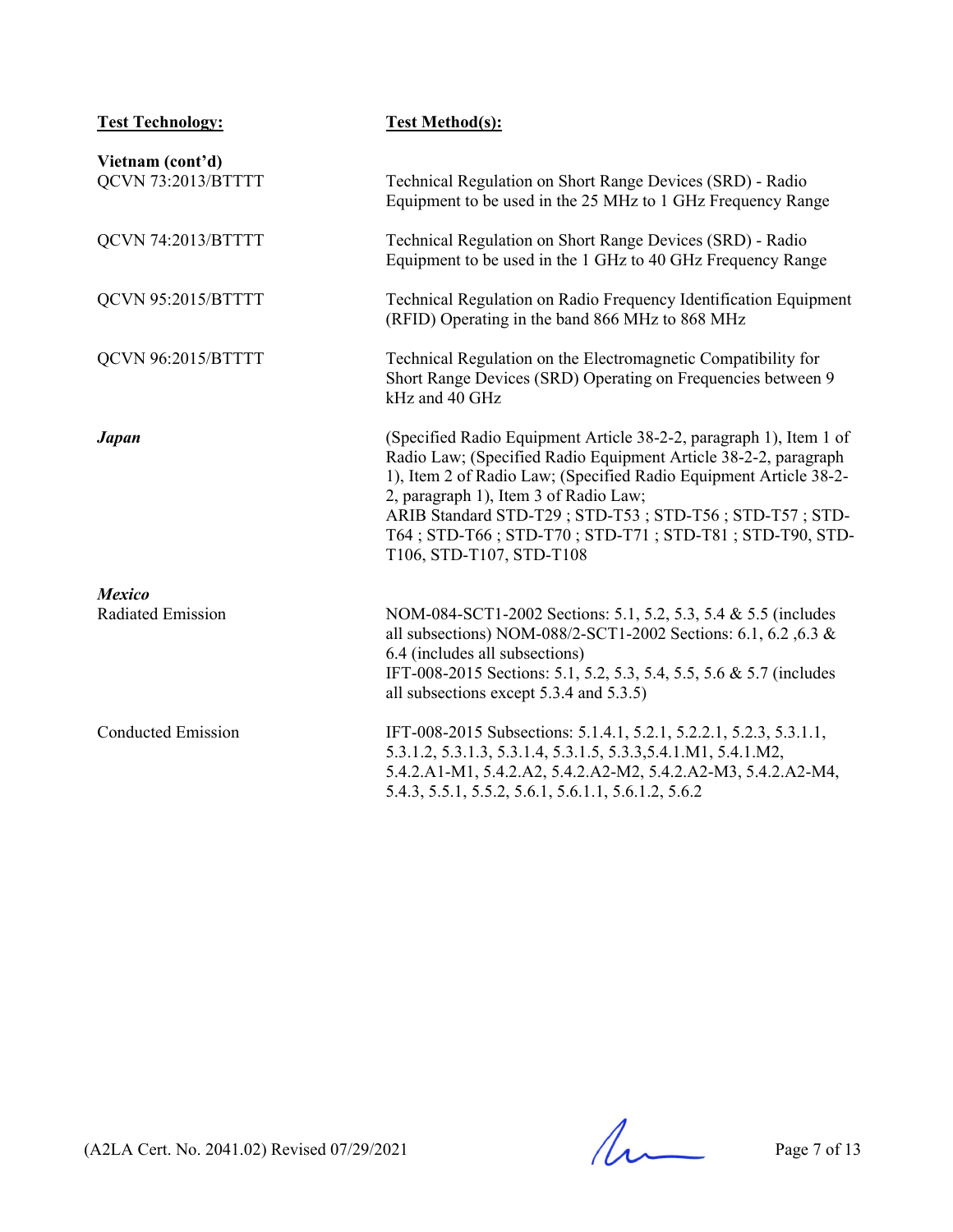| <b>Test Technology:</b>                | <b>Test Method(s):</b>                                                                                                                                                                                                                                                                                                                                                                              |
|----------------------------------------|-----------------------------------------------------------------------------------------------------------------------------------------------------------------------------------------------------------------------------------------------------------------------------------------------------------------------------------------------------------------------------------------------------|
| Vietnam (cont'd)<br>QCVN 73:2013/BTTTT | Technical Regulation on Short Range Devices (SRD) - Radio<br>Equipment to be used in the 25 MHz to 1 GHz Frequency Range                                                                                                                                                                                                                                                                            |
| QCVN 74:2013/BTTTT                     | Technical Regulation on Short Range Devices (SRD) - Radio<br>Equipment to be used in the 1 GHz to 40 GHz Frequency Range                                                                                                                                                                                                                                                                            |
| QCVN 95:2015/BTTTT                     | Technical Regulation on Radio Frequency Identification Equipment<br>(RFID) Operating in the band 866 MHz to 868 MHz                                                                                                                                                                                                                                                                                 |
| QCVN 96:2015/BTTTT                     | Technical Regulation on the Electromagnetic Compatibility for<br>Short Range Devices (SRD) Operating on Frequencies between 9<br>kHz and 40 GHz                                                                                                                                                                                                                                                     |
| <b>Japan</b>                           | (Specified Radio Equipment Article 38-2-2, paragraph 1), Item 1 of<br>Radio Law; (Specified Radio Equipment Article 38-2-2, paragraph<br>1), Item 2 of Radio Law; (Specified Radio Equipment Article 38-2-<br>2, paragraph 1), Item 3 of Radio Law;<br>ARIB Standard STD-T29; STD-T53; STD-T56; STD-T57; STD-<br>T64; STD-T66; STD-T70; STD-T71; STD-T81; STD-T90, STD-<br>T106, STD-T107, STD-T108 |
| <b>Mexico</b><br>Radiated Emission     | NOM-084-SCT1-2002 Sections: 5.1, 5.2, 5.3, 5.4 & 5.5 (includes<br>all subsections) NOM-088/2-SCT1-2002 Sections: 6.1, 6.2, 6.3 &<br>6.4 (includes all subsections)<br>IFT-008-2015 Sections: 5.1, 5.2, 5.3, 5.4, 5.5, 5.6 & 5.7 (includes<br>all subsections except 5.3.4 and 5.3.5)                                                                                                                |
| <b>Conducted Emission</b>              | IFT-008-2015 Subsections: 5.1.4.1, 5.2.1, 5.2.2.1, 5.2.3, 5.3.1.1,<br>5.3.1.2, 5.3.1.3, 5.3.1.4, 5.3.1.5, 5.3.3, 5.4.1.M1, 5.4.1.M2,<br>5.4.2.A1-M1, 5.4.2.A2, 5.4.2.A2-M2, 5.4.2.A2-M3, 5.4.2.A2-M4,<br>5.4.3, 5.5.1, 5.5.2, 5.6.1, 5.6.1.1, 5.6.1.2, 5.6.2                                                                                                                                        |

 $(A2LA$  Cert. No. 2041.02) Revised 07/29/2021 Page 7 of 13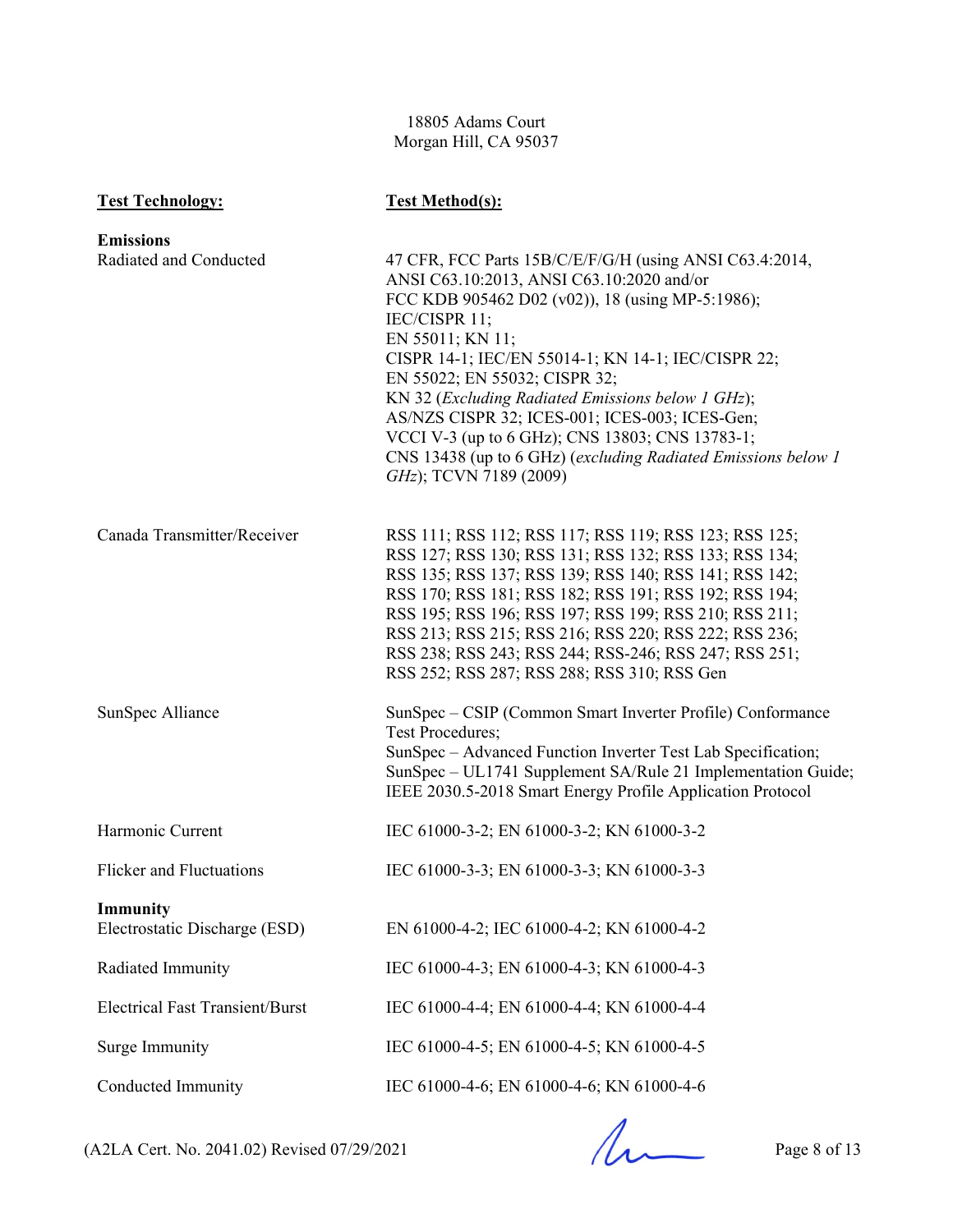18805 Adams Court Morgan Hill, CA 95037

| <b>Test Technology:</b>                | <b>Test Method(s):</b>                                                                                                     |
|----------------------------------------|----------------------------------------------------------------------------------------------------------------------------|
| <b>Emissions</b>                       |                                                                                                                            |
| Radiated and Conducted                 | 47 CFR, FCC Parts 15B/C/E/F/G/H (using ANSI C63.4:2014,<br>ANSI C63.10:2013, ANSI C63.10:2020 and/or                       |
|                                        | FCC KDB 905462 D02 (v02)), 18 (using MP-5:1986);                                                                           |
|                                        | IEC/CISPR 11;<br>EN 55011; KN 11;                                                                                          |
|                                        | CISPR 14-1; IEC/EN 55014-1; KN 14-1; IEC/CISPR 22;                                                                         |
|                                        | EN 55022; EN 55032; CISPR 32;                                                                                              |
|                                        | KN 32 (Excluding Radiated Emissions below 1 GHz);<br>AS/NZS CISPR 32; ICES-001; ICES-003; ICES-Gen;                        |
|                                        | VCCI V-3 (up to 6 GHz); CNS 13803; CNS 13783-1;                                                                            |
|                                        | CNS 13438 (up to 6 GHz) (excluding Radiated Emissions below 1<br>GHz); TCVN 7189 (2009)                                    |
|                                        |                                                                                                                            |
| Canada Transmitter/Receiver            | RSS 111; RSS 112; RSS 117; RSS 119; RSS 123; RSS 125;                                                                      |
|                                        | RSS 127; RSS 130; RSS 131; RSS 132; RSS 133; RSS 134;                                                                      |
|                                        | RSS 135; RSS 137; RSS 139; RSS 140; RSS 141; RSS 142;                                                                      |
|                                        | RSS 170; RSS 181; RSS 182; RSS 191; RSS 192; RSS 194;<br>RSS 195; RSS 196; RSS 197; RSS 199; RSS 210; RSS 211;             |
|                                        | RSS 213; RSS 215; RSS 216; RSS 220; RSS 222; RSS 236;                                                                      |
|                                        | RSS 238; RSS 243; RSS 244; RSS-246; RSS 247; RSS 251;                                                                      |
|                                        | RSS 252; RSS 287; RSS 288; RSS 310; RSS Gen                                                                                |
| SunSpec Alliance                       | SunSpec – CSIP (Common Smart Inverter Profile) Conformance<br><b>Test Procedures;</b>                                      |
|                                        | SunSpec - Advanced Function Inverter Test Lab Specification;                                                               |
|                                        | SunSpec - UL1741 Supplement SA/Rule 21 Implementation Guide;<br>IEEE 2030.5-2018 Smart Energy Profile Application Protocol |
|                                        |                                                                                                                            |
| Harmonic Current                       | IEC 61000-3-2; EN 61000-3-2; KN 61000-3-2                                                                                  |
| Flicker and Fluctuations               | IEC 61000-3-3; EN 61000-3-3; KN 61000-3-3                                                                                  |
| Immunity                               |                                                                                                                            |
| Electrostatic Discharge (ESD)          | EN 61000-4-2; IEC 61000-4-2; KN 61000-4-2                                                                                  |
| Radiated Immunity                      | IEC 61000-4-3; EN 61000-4-3; KN 61000-4-3                                                                                  |
| <b>Electrical Fast Transient/Burst</b> | IEC 61000-4-4; EN 61000-4-4; KN 61000-4-4                                                                                  |
| Surge Immunity                         | IEC 61000-4-5; EN 61000-4-5; KN 61000-4-5                                                                                  |
| <b>Conducted Immunity</b>              | IEC 61000-4-6; EN 61000-4-6; KN 61000-4-6                                                                                  |

 $(A2LA$  Cert. No. 2041.02) Revised 07/29/2021 Page 8 of 13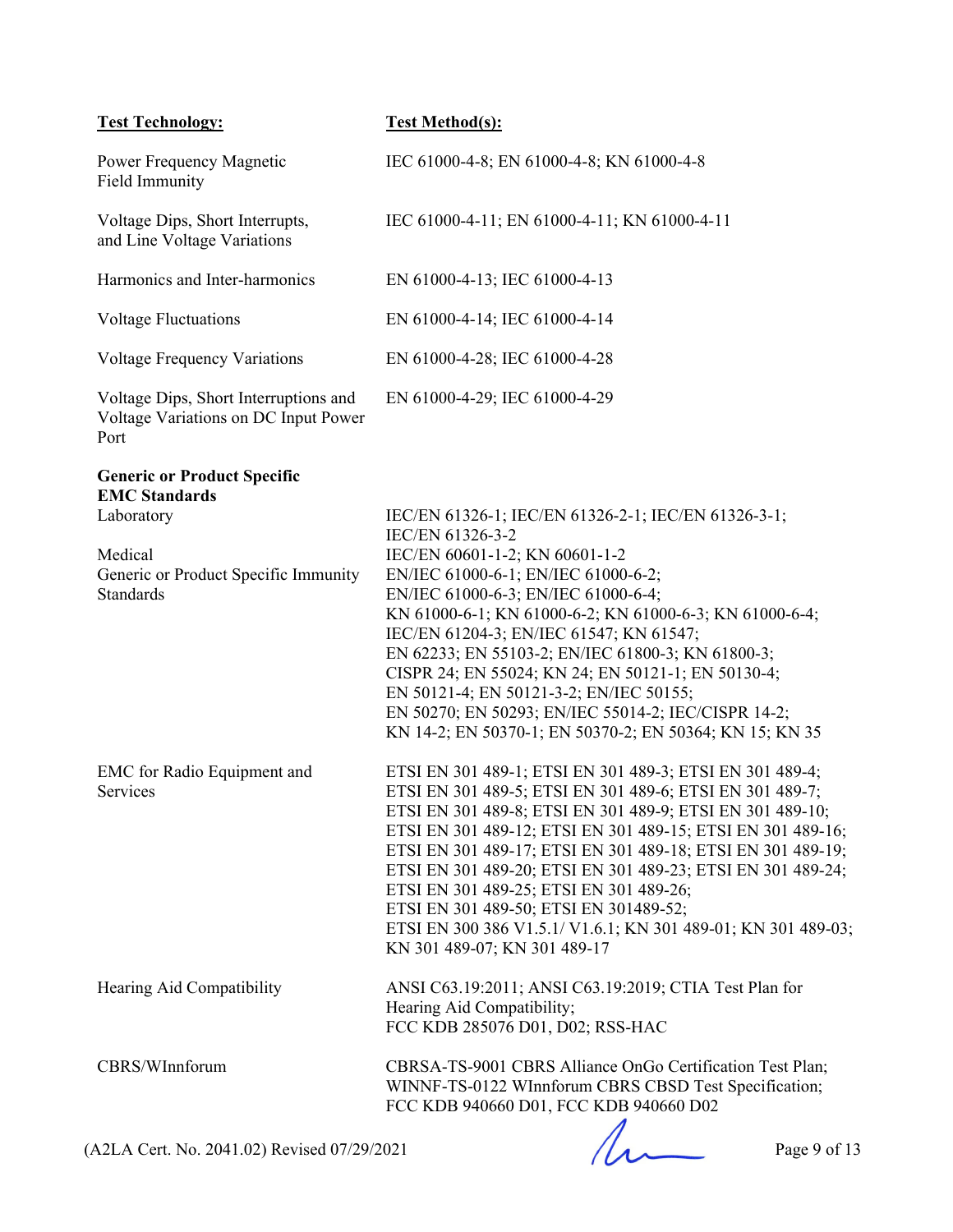| <b>Test Technology:</b>                                                                                                                  | <b>Test Method(s):</b>                                                                                                                                                                                                                                                                                                                                                                                                                                                                                                                                                |
|------------------------------------------------------------------------------------------------------------------------------------------|-----------------------------------------------------------------------------------------------------------------------------------------------------------------------------------------------------------------------------------------------------------------------------------------------------------------------------------------------------------------------------------------------------------------------------------------------------------------------------------------------------------------------------------------------------------------------|
| Power Frequency Magnetic<br>Field Immunity                                                                                               | IEC 61000-4-8; EN 61000-4-8; KN 61000-4-8                                                                                                                                                                                                                                                                                                                                                                                                                                                                                                                             |
| Voltage Dips, Short Interrupts,<br>and Line Voltage Variations                                                                           | IEC 61000-4-11; EN 61000-4-11; KN 61000-4-11                                                                                                                                                                                                                                                                                                                                                                                                                                                                                                                          |
| Harmonics and Inter-harmonics                                                                                                            | EN 61000-4-13; IEC 61000-4-13                                                                                                                                                                                                                                                                                                                                                                                                                                                                                                                                         |
| <b>Voltage Fluctuations</b>                                                                                                              | EN 61000-4-14; IEC 61000-4-14                                                                                                                                                                                                                                                                                                                                                                                                                                                                                                                                         |
| <b>Voltage Frequency Variations</b>                                                                                                      | EN 61000-4-28; IEC 61000-4-28                                                                                                                                                                                                                                                                                                                                                                                                                                                                                                                                         |
| Voltage Dips, Short Interruptions and<br>Voltage Variations on DC Input Power<br>Port                                                    | EN 61000-4-29; IEC 61000-4-29                                                                                                                                                                                                                                                                                                                                                                                                                                                                                                                                         |
| <b>Generic or Product Specific</b><br><b>EMC</b> Standards<br>Laboratory<br>Medical<br>Generic or Product Specific Immunity<br>Standards | IEC/EN 61326-1; IEC/EN 61326-2-1; IEC/EN 61326-3-1;<br>IEC/EN 61326-3-2<br>IEC/EN 60601-1-2; KN 60601-1-2<br>EN/IEC 61000-6-1; EN/IEC 61000-6-2;<br>EN/IEC 61000-6-3; EN/IEC 61000-6-4;<br>KN 61000-6-1; KN 61000-6-2; KN 61000-6-3; KN 61000-6-4;<br>IEC/EN 61204-3; EN/IEC 61547; KN 61547;<br>EN 62233; EN 55103-2; EN/IEC 61800-3; KN 61800-3;<br>CISPR 24; EN 55024; KN 24; EN 50121-1; EN 50130-4;<br>EN 50121-4; EN 50121-3-2; EN/IEC 50155;<br>EN 50270; EN 50293; EN/IEC 55014-2; IEC/CISPR 14-2;<br>KN 14-2; EN 50370-1; EN 50370-2; EN 50364; KN 15; KN 35 |
| <b>EMC</b> for Radio Equipment and<br>Services                                                                                           | ETSI EN 301 489-1; ETSI EN 301 489-3; ETSI EN 301 489-4;<br>ETSI EN 301 489-5; ETSI EN 301 489-6; ETSI EN 301 489-7;<br>ETSI EN 301 489-8; ETSI EN 301 489-9; ETSI EN 301 489-10;<br>ETSI EN 301 489-12; ETSI EN 301 489-15; ETSI EN 301 489-16;<br>ETSI EN 301 489-17; ETSI EN 301 489-18; ETSI EN 301 489-19;<br>ETSI EN 301 489-20; ETSI EN 301 489-23; ETSI EN 301 489-24;<br>ETSI EN 301 489-25; ETSI EN 301 489-26;<br>ETSI EN 301 489-50; ETSI EN 301489-52;<br>ETSI EN 300 386 V1.5.1/ V1.6.1; KN 301 489-01; KN 301 489-03;<br>KN 301 489-07; KN 301 489-17  |
| Hearing Aid Compatibility                                                                                                                | ANSI C63.19:2011; ANSI C63.19:2019; CTIA Test Plan for<br>Hearing Aid Compatibility;<br>FCC KDB 285076 D01, D02; RSS-HAC                                                                                                                                                                                                                                                                                                                                                                                                                                              |
| CBRS/WInnforum                                                                                                                           | CBRSA-TS-9001 CBRS Alliance OnGo Certification Test Plan;<br>WINNF-TS-0122 WInnforum CBRS CBSD Test Specification;<br>FCC KDB 940660 D01, FCC KDB 940660 D02                                                                                                                                                                                                                                                                                                                                                                                                          |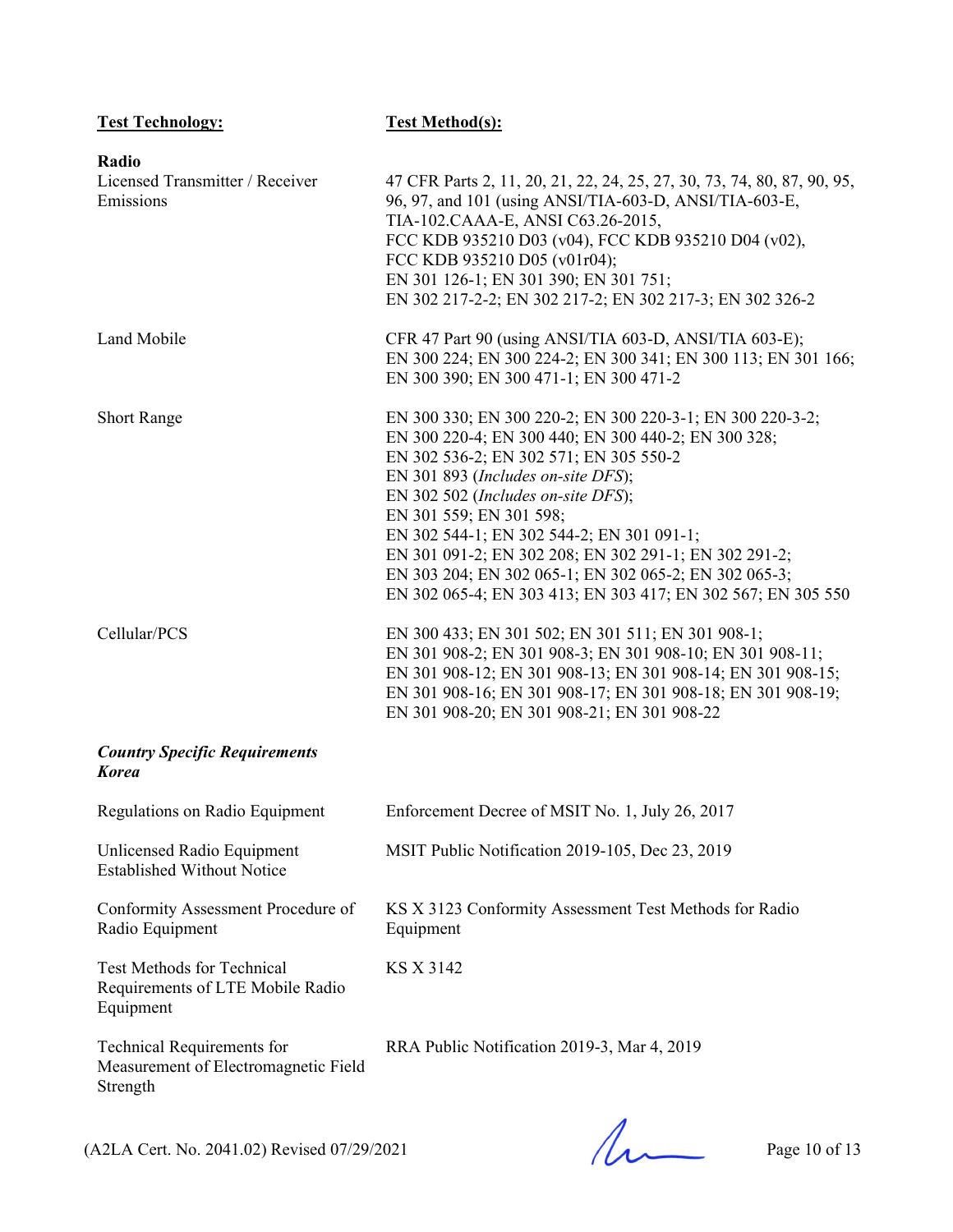| <b>Test Technology:</b>                                                               | <b>Test Method(s):</b>                                                                                                                                                                                                                                                                                                                                                                                                                                                                           |
|---------------------------------------------------------------------------------------|--------------------------------------------------------------------------------------------------------------------------------------------------------------------------------------------------------------------------------------------------------------------------------------------------------------------------------------------------------------------------------------------------------------------------------------------------------------------------------------------------|
| Radio<br>Licensed Transmitter / Receiver<br>Emissions                                 | 47 CFR Parts 2, 11, 20, 21, 22, 24, 25, 27, 30, 73, 74, 80, 87, 90, 95,<br>96, 97, and 101 (using ANSI/TIA-603-D, ANSI/TIA-603-E,<br>TIA-102.CAAA-E, ANSI C63.26-2015,<br>FCC KDB 935210 D03 (v04), FCC KDB 935210 D04 (v02),<br>FCC KDB 935210 D05 (v01r04);<br>EN 301 126-1; EN 301 390; EN 301 751;<br>EN 302 217-2-2; EN 302 217-2; EN 302 217-3; EN 302 326-2                                                                                                                               |
| Land Mobile                                                                           | CFR 47 Part 90 (using ANSI/TIA 603-D, ANSI/TIA 603-E);<br>EN 300 224; EN 300 224-2; EN 300 341; EN 300 113; EN 301 166;<br>EN 300 390; EN 300 471-1; EN 300 471-2                                                                                                                                                                                                                                                                                                                                |
| <b>Short Range</b>                                                                    | EN 300 330; EN 300 220-2; EN 300 220-3-1; EN 300 220-3-2;<br>EN 300 220-4; EN 300 440; EN 300 440-2; EN 300 328;<br>EN 302 536-2; EN 302 571; EN 305 550-2<br>EN 301 893 (Includes on-site DFS);<br>EN 302 502 (Includes on-site DFS);<br>EN 301 559; EN 301 598;<br>EN 302 544-1; EN 302 544-2; EN 301 091-1;<br>EN 301 091-2; EN 302 208; EN 302 291-1; EN 302 291-2;<br>EN 303 204; EN 302 065-1; EN 302 065-2; EN 302 065-3;<br>EN 302 065-4; EN 303 413; EN 303 417; EN 302 567; EN 305 550 |
| Cellular/PCS                                                                          | EN 300 433; EN 301 502; EN 301 511; EN 301 908-1;<br>EN 301 908-2; EN 301 908-3; EN 301 908-10; EN 301 908-11;<br>EN 301 908-12; EN 301 908-13; EN 301 908-14; EN 301 908-15;<br>EN 301 908-16; EN 301 908-17; EN 301 908-18; EN 301 908-19;<br>EN 301 908-20; EN 301 908-21; EN 301 908-22                                                                                                                                                                                                      |
| <b>Country Specific Requirements</b><br><b>Korea</b>                                  |                                                                                                                                                                                                                                                                                                                                                                                                                                                                                                  |
| Regulations on Radio Equipment                                                        | Enforcement Decree of MSIT No. 1, July 26, 2017                                                                                                                                                                                                                                                                                                                                                                                                                                                  |
| Unlicensed Radio Equipment<br><b>Established Without Notice</b>                       | MSIT Public Notification 2019-105, Dec 23, 2019                                                                                                                                                                                                                                                                                                                                                                                                                                                  |
| Conformity Assessment Procedure of<br>Radio Equipment                                 | KS X 3123 Conformity Assessment Test Methods for Radio<br>Equipment                                                                                                                                                                                                                                                                                                                                                                                                                              |
| <b>Test Methods for Technical</b><br>Requirements of LTE Mobile Radio<br>Equipment    | KS X 3142                                                                                                                                                                                                                                                                                                                                                                                                                                                                                        |
| <b>Technical Requirements for</b><br>Measurement of Electromagnetic Field<br>Strength | RRA Public Notification 2019-3, Mar 4, 2019                                                                                                                                                                                                                                                                                                                                                                                                                                                      |
| (A2LA Cert. No. 2041.02) Revised 07/29/2021                                           | Page 10 of 13                                                                                                                                                                                                                                                                                                                                                                                                                                                                                    |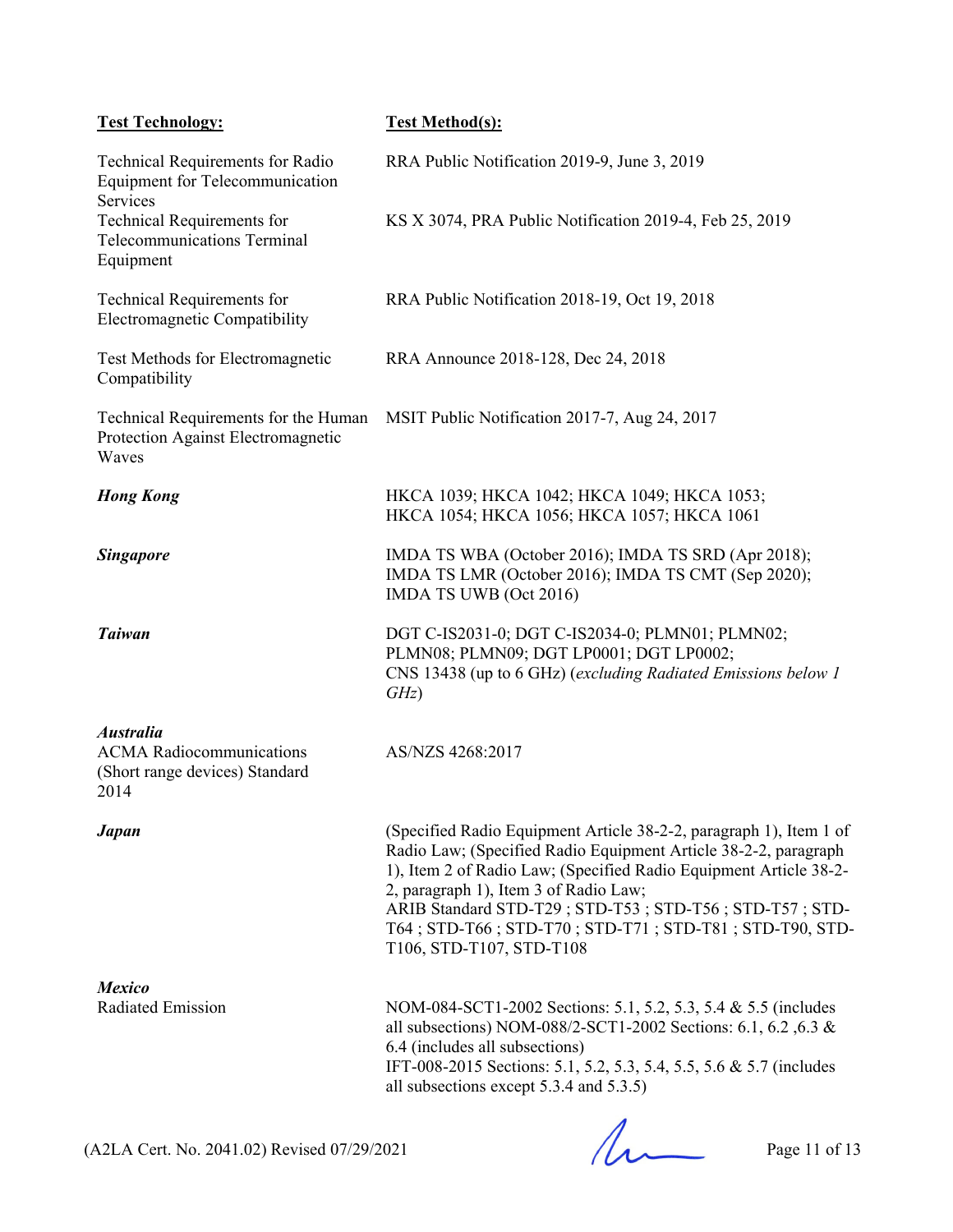| <b>Test Technology:</b>                                                                       | <b>Test Method(s):</b>                                                                                                                                                                                                                                                                                                                                                                              |
|-----------------------------------------------------------------------------------------------|-----------------------------------------------------------------------------------------------------------------------------------------------------------------------------------------------------------------------------------------------------------------------------------------------------------------------------------------------------------------------------------------------------|
| <b>Technical Requirements for Radio</b><br><b>Equipment for Telecommunication</b><br>Services | RRA Public Notification 2019-9, June 3, 2019                                                                                                                                                                                                                                                                                                                                                        |
| <b>Technical Requirements for</b><br><b>Telecommunications Terminal</b><br>Equipment          | KS X 3074, PRA Public Notification 2019-4, Feb 25, 2019                                                                                                                                                                                                                                                                                                                                             |
| Technical Requirements for<br>Electromagnetic Compatibility                                   | RRA Public Notification 2018-19, Oct 19, 2018                                                                                                                                                                                                                                                                                                                                                       |
| Test Methods for Electromagnetic<br>Compatibility                                             | RRA Announce 2018-128, Dec 24, 2018                                                                                                                                                                                                                                                                                                                                                                 |
| Technical Requirements for the Human<br>Protection Against Electromagnetic<br>Waves           | MSIT Public Notification 2017-7, Aug 24, 2017                                                                                                                                                                                                                                                                                                                                                       |
| <b>Hong Kong</b>                                                                              | HKCA 1039; HKCA 1042; HKCA 1049; HKCA 1053;<br>HKCA 1054; HKCA 1056; HKCA 1057; HKCA 1061                                                                                                                                                                                                                                                                                                           |
| <b>Singapore</b>                                                                              | IMDA TS WBA (October 2016); IMDA TS SRD (Apr 2018);<br>IMDA TS LMR (October 2016); IMDA TS CMT (Sep 2020);<br>IMDA TS UWB (Oct 2016)                                                                                                                                                                                                                                                                |
| <b>Taiwan</b>                                                                                 | DGT C-IS2031-0; DGT C-IS2034-0; PLMN01; PLMN02;<br>PLMN08; PLMN09; DGT LP0001; DGT LP0002;<br>CNS 13438 (up to 6 GHz) (excluding Radiated Emissions below 1<br>GHz)                                                                                                                                                                                                                                 |
| <b>Australia</b><br><b>ACMA</b> Radiocommunications<br>(Short range devices) Standard<br>2014 | AS/NZS 4268:2017                                                                                                                                                                                                                                                                                                                                                                                    |
| <b>Japan</b>                                                                                  | (Specified Radio Equipment Article 38-2-2, paragraph 1), Item 1 of<br>Radio Law; (Specified Radio Equipment Article 38-2-2, paragraph<br>1), Item 2 of Radio Law; (Specified Radio Equipment Article 38-2-<br>2, paragraph 1), Item 3 of Radio Law;<br>ARIB Standard STD-T29; STD-T53; STD-T56; STD-T57; STD-<br>T64; STD-T66; STD-T70; STD-T71; STD-T81; STD-T90, STD-<br>T106, STD-T107, STD-T108 |
| <b>Mexico</b><br><b>Radiated Emission</b>                                                     | NOM-084-SCT1-2002 Sections: 5.1, 5.2, 5.3, 5.4 & 5.5 (includes<br>all subsections) NOM-088/2-SCT1-2002 Sections: 6.1, 6.2, 6.3 &<br>6.4 (includes all subsections)<br>IFT-008-2015 Sections: 5.1, 5.2, 5.3, 5.4, 5.5, 5.6 & 5.7 (includes<br>all subsections except 5.3.4 and 5.3.5)                                                                                                                |

 $(A2LA$  Cert. No. 2041.02) Revised 07/29/2021 Page 11 of 13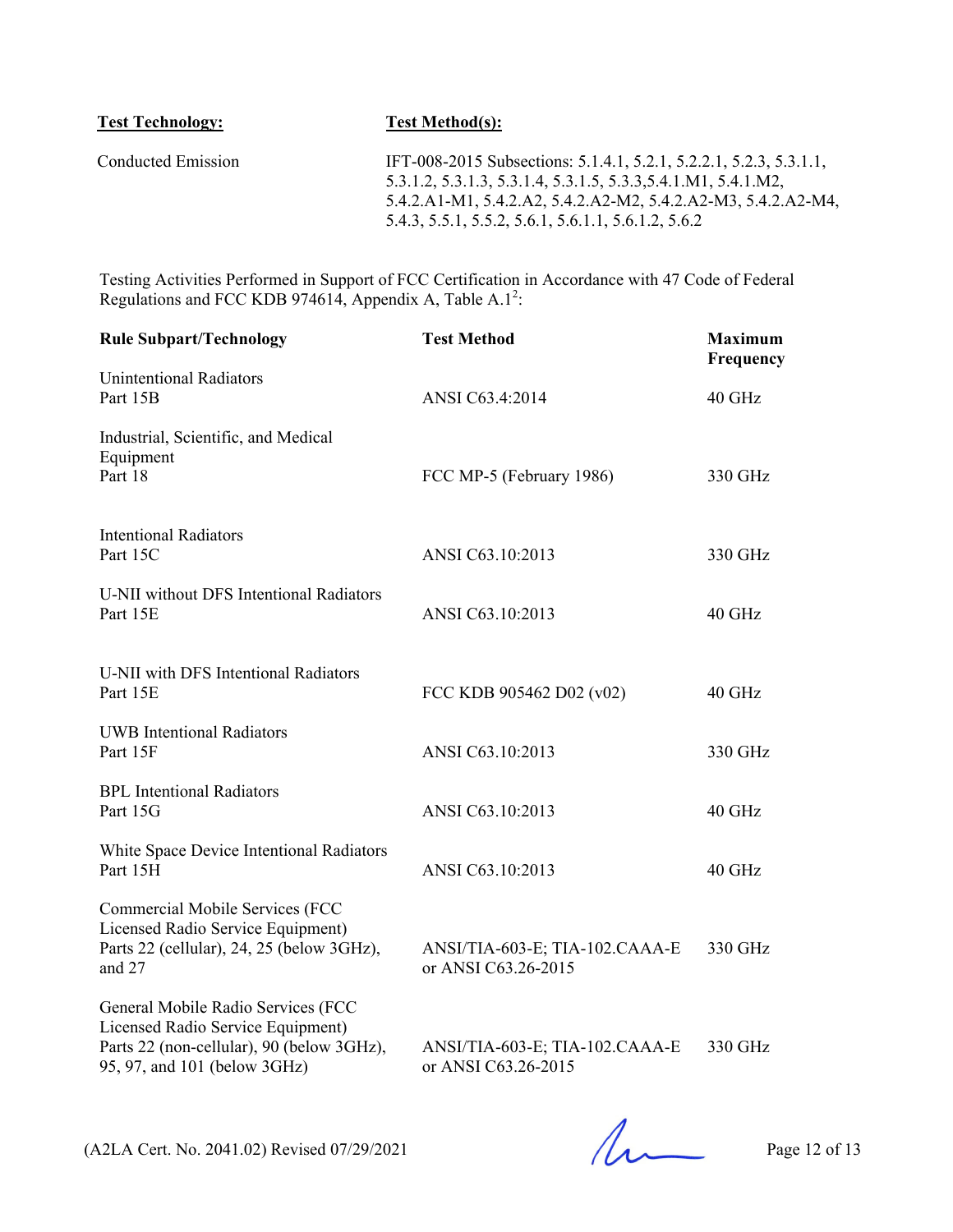| <b>Test Technology:</b> | <b>Test Method(s):</b>                                                                                                                                                                                                                                       |
|-------------------------|--------------------------------------------------------------------------------------------------------------------------------------------------------------------------------------------------------------------------------------------------------------|
| Conducted Emission      | IFT-008-2015 Subsections: 5.1.4.1, 5.2.1, 5.2.2.1, 5.2.3, 5.3.1.1,<br>5.3.1.2, 5.3.1.3, 5.3.1.4, 5.3.1.5, 5.3.3, 5.4.1.M1, 5.4.1.M2,<br>5.4.2.A1-M1, 5.4.2.A2, 5.4.2.A2-M2, 5.4.2.A2-M3, 5.4.2.A2-M4,<br>5.4.3, 5.5.1, 5.5.2, 5.6.1, 5.6.1.1, 5.6.1.2, 5.6.2 |

Testing Activities Performed in Support of FCC Certification in Accordance with 47 Code of Federal Regulations and FCC KDB 974614, Appendix A, Table A.1<sup>2</sup>:

| <b>Rule Subpart/Technology</b>                                                                                                                       | <b>Test Method</b>                                    | <b>Maximum</b><br>Frequency |
|------------------------------------------------------------------------------------------------------------------------------------------------------|-------------------------------------------------------|-----------------------------|
| <b>Unintentional Radiators</b><br>Part 15B                                                                                                           | ANSI C63.4:2014                                       | 40 GHz                      |
| Industrial, Scientific, and Medical<br>Equipment<br>Part 18                                                                                          | FCC MP-5 (February 1986)                              | 330 GHz                     |
| <b>Intentional Radiators</b><br>Part 15C                                                                                                             | ANSI C63.10:2013                                      | 330 GHz                     |
| U-NII without DFS Intentional Radiators<br>Part 15E                                                                                                  | ANSI C63.10:2013                                      | 40 GHz                      |
| U-NII with DFS Intentional Radiators<br>Part 15E                                                                                                     | FCC KDB 905462 D02 (v02)                              | 40 GHz                      |
| <b>UWB</b> Intentional Radiators<br>Part 15F                                                                                                         | ANSI C63.10:2013                                      | 330 GHz                     |
| <b>BPL</b> Intentional Radiators<br>Part 15G                                                                                                         | ANSI C63.10:2013                                      | 40 GHz                      |
| White Space Device Intentional Radiators<br>Part 15H                                                                                                 | ANSI C63.10:2013                                      | $40$ GHz                    |
| Commercial Mobile Services (FCC<br>Licensed Radio Service Equipment)<br>Parts 22 (cellular), 24, 25 (below 3GHz),<br>and 27                          | ANSI/TIA-603-E; TIA-102.CAAA-E<br>or ANSI C63.26-2015 | 330 GHz                     |
| General Mobile Radio Services (FCC<br>Licensed Radio Service Equipment)<br>Parts 22 (non-cellular), 90 (below 3GHz),<br>95, 97, and 101 (below 3GHz) | ANSI/TIA-603-E; TIA-102.CAAA-E<br>or ANSI C63.26-2015 | 330 GHz                     |

(A2LA Cert. No. 2041.02) Revised 07/29/2021 Page 12 of 13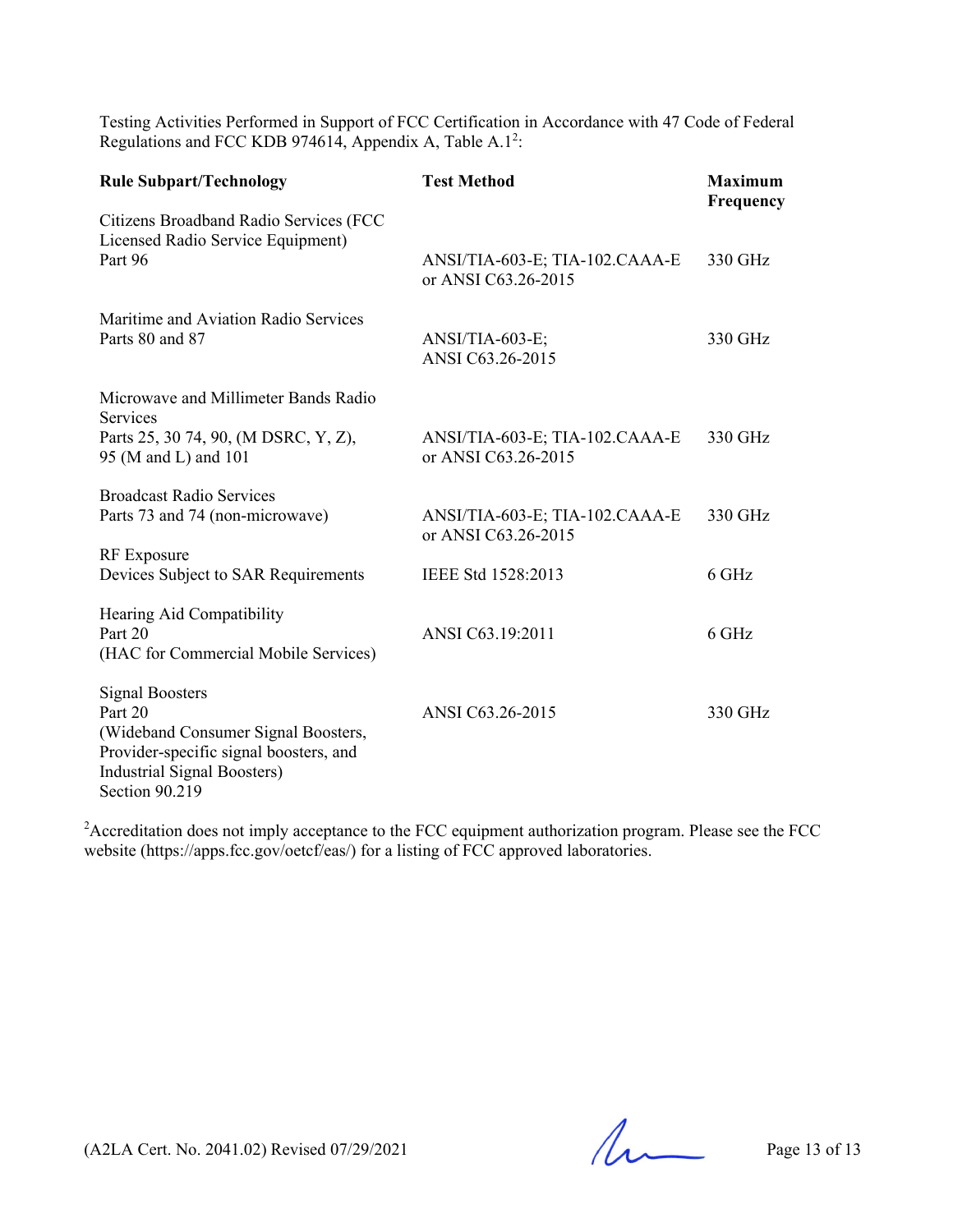Testing Activities Performed in Support of FCC Certification in Accordance with 47 Code of Federal Regulations and FCC KDB 974614, Appendix A, Table A.1<sup>2</sup>:

| <b>Rule Subpart/Technology</b>                                                                                                                                      | <b>Test Method</b>                                    | <b>Maximum</b><br>Frequency |
|---------------------------------------------------------------------------------------------------------------------------------------------------------------------|-------------------------------------------------------|-----------------------------|
| Citizens Broadband Radio Services (FCC<br>Licensed Radio Service Equipment)<br>Part 96                                                                              | ANSI/TIA-603-E; TIA-102.CAAA-E<br>or ANSI C63.26-2015 | 330 GHz                     |
| Maritime and Aviation Radio Services<br>Parts 80 and 87                                                                                                             | ANSI/TIA-603-E;<br>ANSI C63.26-2015                   | 330 GHz                     |
| Microwave and Millimeter Bands Radio<br>Services<br>Parts 25, 30 74, 90, (M DSRC, Y, Z),<br>95 (M and L) and 101                                                    | ANSI/TIA-603-E; TIA-102.CAAA-E<br>or ANSI C63.26-2015 | 330 GHz                     |
| <b>Broadcast Radio Services</b><br>Parts 73 and 74 (non-microwave)                                                                                                  | ANSI/TIA-603-E; TIA-102.CAAA-E<br>or ANSI C63.26-2015 | 330 GHz                     |
| RF Exposure<br>Devices Subject to SAR Requirements                                                                                                                  | IEEE Std 1528:2013                                    | 6 GHz                       |
| Hearing Aid Compatibility<br>Part 20<br>(HAC for Commercial Mobile Services)                                                                                        | ANSI C63.19:2011                                      | 6 GHz                       |
| <b>Signal Boosters</b><br>Part 20<br>(Wideband Consumer Signal Boosters,<br>Provider-specific signal boosters, and<br>Industrial Signal Boosters)<br>Section 90.219 | ANSI C63.26-2015                                      | 330 GHz                     |

 $2A$ ccreditation does not imply acceptance to the FCC equipment authorization program. Please see the FCC website (https://apps.fcc.gov/oetcf/eas/) for a listing of FCC approved laboratories.

(A2LA Cert. No. 2041.02) Revised 07/29/2021 Page 13 of 13